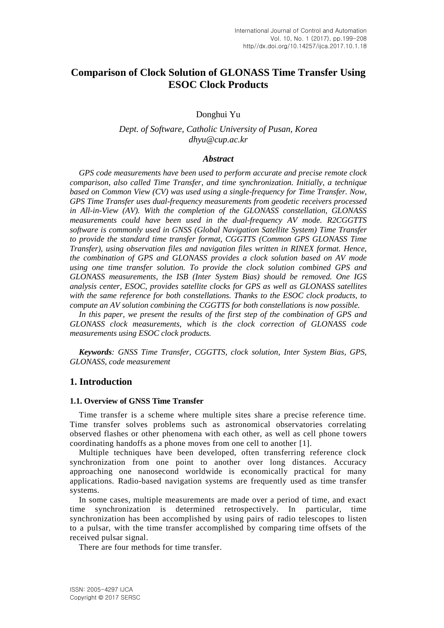# **Comparison of Clock Solution of GLONASS Time Transfer Using ESOC Clock Products**

Donghui Yu

### *Dept. of Software, Catholic University of Pusan, Korea dhyu@cup.ac.kr*

#### *Abstract*

*GPS code measurements have been used to perform accurate and precise remote clock comparison, also called Time Transfer, and time synchronization. Initially, a technique based on Common View (CV) was used using a single-frequency for Time Transfer. Now, GPS Time Transfer uses dual-frequency measurements from geodetic receivers processed in All-in-View (AV). With the completion of the GLONASS constellation, GLONASS measurements could have been used in the dual-frequency AV mode. R2CGGTTS software is commonly used in GNSS (Global Navigation Satellite System) Time Transfer to provide the standard time transfer format, CGGTTS (Common GPS GLONASS Time Transfer), using observation files and navigation files written in RINEX format. Hence, the combination of GPS and GLONASS provides a clock solution based on AV mode using one time transfer solution. To provide the clock solution combined GPS and GLONASS measurements, the ISB (Inter System Bias) should be removed. One IGS analysis center, ESOC, provides satellite clocks for GPS as well as GLONASS satellites with the same reference for both constellations. Thanks to the ESOC clock products, to compute an AV solution combining the CGGTTS for both constellations is now possible.*

*In this paper, we present the results of the first step of the combination of GPS and GLONASS clock measurements, which is the clock correction of GLONASS code measurements using ESOC clock products.* 

*Keywords: GNSS Time Transfer, CGGTTS, clock solution, Inter System Bias, GPS, GLONASS, code measurement*

#### **1. Introduction**

#### **1.1. Overview of GNSS Time Transfer**

Time transfer is a scheme where multiple sites share a precise reference time. Time transfer solves problems such as astronomical observatories correlating observed flashes or other phenomena with each other, as well as cell phone towers coordinating handoffs as a phone moves from one cell to another [1].

Multiple techniques have been developed, often transferring reference clock [synchronization](https://en.wikipedia.org/wiki/Synchronization) from one point to another over long distances. Accuracy approaching one [nanosecond](https://en.wikipedia.org/wiki/Nanosecond) worldwide is economically practical for many applications. [Radio-based navigation systems](https://en.wikipedia.org/wiki/Radio_navigation) are frequently used as time transfer systems.

In some cases, multiple measurements are made over a period of time, and exact time synchronization is determined retrospectively. In particular, time synchronization has been accomplished by using pairs of [radio telescopes](https://en.wikipedia.org/wiki/Radio_telescope) to listen to a [pulsar,](https://en.wikipedia.org/wiki/Pulsar) with the time transfer accomplished by comparing time offsets of the received pulsar signal.

There are four methods for time transfer.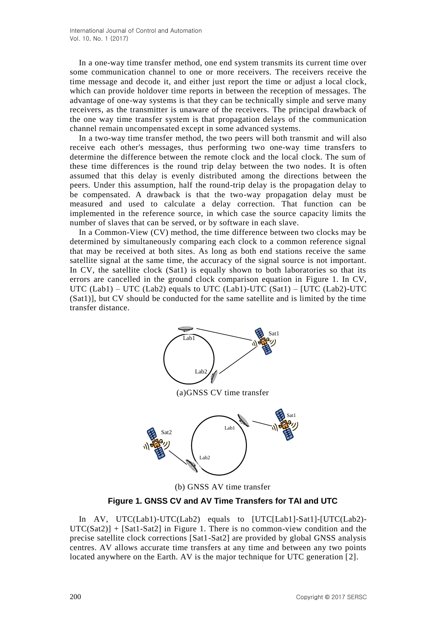In a one-way time transfer method, one end system transmits its current time over some communication channel to one or more receivers. The receivers receive the time message and decode it, and either just report the time or adjust a local clock, which can provide holdover time reports in between the reception of messages. The advantage of one-way systems is that they can be technically simple and serve many receivers, as the transmitter is unaware of the receivers. The principal drawback of the one way time transfer system is that [propagation delays](https://en.wikipedia.org/wiki/Propagation_delay) of the communication channel remain uncompensated except in some advanced systems.

In a two-way time transfer method, the two peers will both transmit and will also receive each other's messages, thus performing two one-way time transfers to determine the difference between the remote clock and the local clock. The sum of these time differences is the [round trip delay](https://en.wikipedia.org/wiki/Round_trip_delay) between the two nodes. It is often assumed that this delay is evenly distributed among the directions between the peers. Under this assumption, half the round-trip delay is the propagation delay to be compensated. A drawback is that the two-way propagation delay must be measured and used to calculate a delay correction. That function can be implemented in the reference source, in which case the source capacity limits the number of slaves that can be served, or by software in each slave.

In a Common-View (CV) method, the time difference between two clocks may be determined by simultaneously comparing each clock to a common reference signal that may be received at both sites. As long as both end stations receive the same satellite signal at the same time, the accuracy of the signal source is not important. In CV, the satellite clock (Sat1) is equally shown to both laboratories so that its errors are cancelled in the ground clock comparison equation in Figure 1. In CV, UTC  $(Lab1) - UTC (Lab2)$  equals to UTC  $(Lab1)-UTC (Sat1) - [UTC (Lab2)-UTC]$ (Sat1)], but CV should be conducted for the same satellite and is limited by the time transfer distance.



(a)GNSS CV time transfer



(b) GNSS AV time transfer

**Figure 1. GNSS CV and AV Time Transfers for TAI and UTC**

In AV, UTC(Lab1)-UTC(Lab2) equals to [UTC[Lab1]-Sat1]-[UTC(Lab2)-  $UTC(Sat2)$  +  $[Sat1-Sat2]$  in Figure 1. There is no common-view condition and the precise satellite clock corrections [Sat1-Sat2] are provided by global GNSS analysis centres. AV allows accurate time transfers at any time and between any two points located anywhere on the Earth. AV is the major technique for UTC generation [2].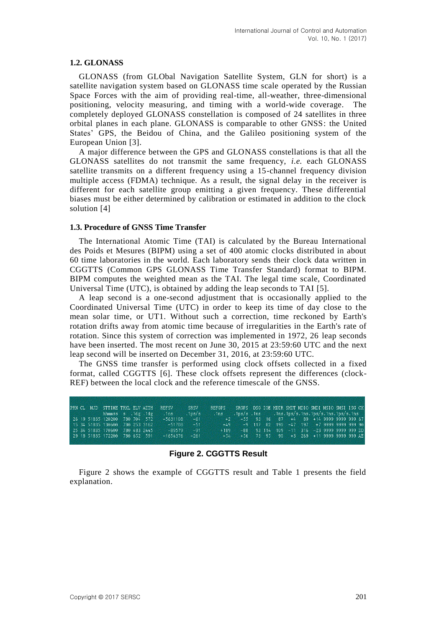#### **1.2. GLONASS**

GLONASS (from GLObal Navigation Satellite System, GLN for short) is a satellite navigation system based on GLONASS time scale operated by the Russian Space Forces with the aim of providing real-time, all-weather, three-dimensional positioning, velocity measuring, and timing with a world-wide coverage. The completely deployed GLONASS constellation is composed of 24 satellites in three orbital planes in each plane. GLONASS is comparable to other GNSS: the United States' GPS, the Beidou of China, and the Galileo positioning system of the European Union [3].

A major difference between the GPS and GLONASS constellations is that all the GLONASS satellites do not transmit the same frequency, *i.e.* each GLONASS satellite transmits on a different frequency using a 15-channel frequency division multiple access (FDMA) technique. As a result, the signal delay in the receiver is different for each satellite group emitting a given frequency. These differential biases must be either determined by calibration or estimated in addition to the clock solution [4]

#### **1.3. Procedure of GNSS Time Transfer**

The International Atomic Time (TAI) is calculated by the Bureau International des Poids et Mesures (BIPM) using a set of 400 atomic clocks distributed in about 60 time laboratories in the world. Each laboratory sends their clock data written in CGGTTS (Common GPS GLONASS Time Transfer Standard) format to BIPM. BIPM computes the weighted mean as the TAI. The legal time scale, Coordinated Universal Time (UTC), is obtained by adding the leap seconds to TAI [5].

A leap second is a one[-second](https://en.wikipedia.org/wiki/Second) adjustment that is occasionally applied to the [Coordinated Universal Time](https://en.wikipedia.org/wiki/Coordinated_Universal_Time) (UTC) in order to keep its time of day close to the [mean solar time,](https://en.wikipedia.org/wiki/Mean_solar_time) or [UT1.](https://en.wikipedia.org/wiki/UT1) Without such a correction, time reckoned by [Earth's](https://en.wikipedia.org/wiki/Earth%27s_rotation)  [rotation](https://en.wikipedia.org/wiki/Earth%27s_rotation) drifts away from [atomic time](https://en.wikipedia.org/wiki/Atomic_time) because of [irregularities](https://en.wikipedia.org/wiki/Earth_rotation#Changes_in_rotation) in the Earth's rate of rotation. Since this system of correction was implemented in 1972, 26 leap seconds have been inserted. The most recent on June 30, 2015 at 23:59:60 UTC and the next leap second will be inserted on December 31, 2016, at 23:59:60 UTC.

The GNSS time transfer is performed using clock offsets collected in a fixed format, called CGGTTS [6]. These clock offsets represent the differences (clock-REF) between the local clock and the reference timescale of the GNSS.

|  | PRN CL MJD STTIME TRKL ELV AZTH |  | <b>REFSV</b> | SRSV               | <b>REFGPS</b>                                            | SRGPS DSG IOE MDTR SMDT MDIO SMDI MSIO SMSI ISG CK             |  |                                                   |  |  |  |  |
|--|---------------------------------|--|--------------|--------------------|----------------------------------------------------------|----------------------------------------------------------------|--|---------------------------------------------------|--|--|--|--|
|  | hhmmss s .1dg .1dg              |  | .1ns         | .1 <sub>ps/s</sub> | <b>Mns</b>                                               | $.1ps/s$ . $1ns$ . $1ns$ . $1ps/s$ . $1ns/s$ . $1ns/s$ . $1ns$ |  |                                                   |  |  |  |  |
|  | 26 19 51835 120200 780 704 572  |  | $-5631108$   |                    | $-61$ $+2$ $-55$ 93 16 87 $+4$ 89 $+14$ 9999 9999 999 67 |                                                                |  |                                                   |  |  |  |  |
|  | 15 34 51835 130600 780 253 3162 |  | $-51708$     | ా - 51             |                                                          | +49 -9 117 82 190 -47 197 +7 9999 9999 999 90                  |  |                                                   |  |  |  |  |
|  | 25 34 51835 170600 780 483 2445 |  | $-89579$     | $-91$              | $+189$                                                   |                                                                |  | $-88$ 93 114 109 $-11$ 316 $-23$ 9999 9999 999 DD |  |  |  |  |
|  | 29 18 51835 172200 780 652 591  |  | $-1654376$   | $-261$             | 45A)                                                     | +56 73 95 90 +3 269 +11 9999 9999 999 AE                       |  |                                                   |  |  |  |  |
|  |                                 |  |              |                    |                                                          |                                                                |  |                                                   |  |  |  |  |

**Figure 2. CGGTTS Result**

Figure 2 shows the example of CGGTTS result and Table 1 presents the field explanation.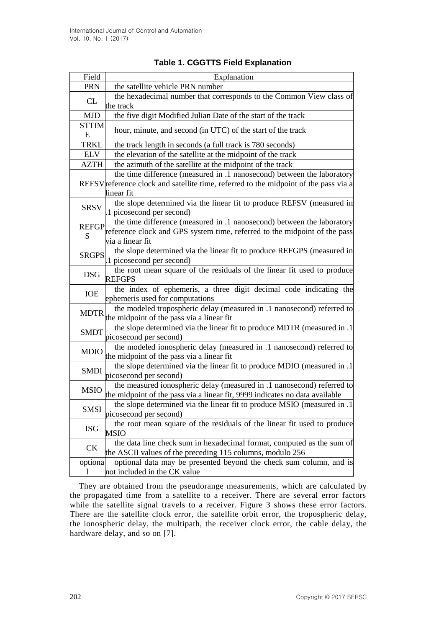| Field             | Explanation                                                                                                                                                                 |
|-------------------|-----------------------------------------------------------------------------------------------------------------------------------------------------------------------------|
| <b>PRN</b>        | the satellite vehicle PRN number                                                                                                                                            |
| CL                | the hexadecimal number that corresponds to the Common View class of<br>the track                                                                                            |
| <b>MJD</b>        | the five digit Modified Julian Date of the start of the track                                                                                                               |
| <b>STTIM</b><br>E | hour, minute, and second (in UTC) of the start of the track                                                                                                                 |
| <b>TRKL</b>       | the track length in seconds (a full track is 780 seconds)                                                                                                                   |
| ELV               | the elevation of the satellite at the midpoint of the track                                                                                                                 |
| <b>AZTH</b>       | the azimuth of the satellite at the midpoint of the track                                                                                                                   |
|                   | the time difference (measured in .1 nanosecond) between the laboratory<br>REFSVreference clock and satellite time, referred to the midpoint of the pass via a<br>linear fit |
| <b>SRSV</b>       | the slope determined via the linear fit to produce REFSV (measured in<br>1 picosecond per second)                                                                           |
| <b>REFGP</b><br>S | the time difference (measured in .1 nanosecond) between the laboratory<br>reference clock and GPS system time, referred to the midpoint of the pass<br>via a linear fit     |
| <b>SRGPS</b>      | the slope determined via the linear fit to produce REFGPS (measured in<br>1 picosecond per second)                                                                          |
| <b>DSG</b>        | the root mean square of the residuals of the linear fit used to produce<br><b>REFGPS</b>                                                                                    |
| IOE               | the index of ephemeris, a three digit decimal code indicating the<br>ephemeris used for computations                                                                        |
| <b>MDTR</b>       | the modeled tropospheric delay (measured in .1 nanosecond) referred to<br>the midpoint of the pass via a linear fit                                                         |
| <b>SMDT</b>       | the slope determined via the linear fit to produce MDTR (measured in .1<br>picosecond per second)                                                                           |
| <b>MDIO</b>       | the modeled ionospheric delay (measured in .1 nanosecond) referred to<br>the midpoint of the pass via a linear fit                                                          |
| <b>SMDI</b>       | the slope determined via the linear fit to produce MDIO (measured in .1<br>picosecond per second)                                                                           |
| <b>MSIO</b>       | the measured ionospheric delay (measured in .1 nanosecond) referred to<br>the midpoint of the pass via a linear fit, 9999 indicates no data available                       |
| <b>SMSI</b>       | the slope determined via the linear fit to produce MSIO (measured in .1<br>picosecond per second)                                                                           |
| <b>ISG</b>        | the root mean square of the residuals of the linear fit used to produce<br>MSIO                                                                                             |
| <b>CK</b>         | the data line check sum in hexadecimal format, computed as the sum of<br>the ASCII values of the preceding 115 columns, modulo 256                                          |
| optiona<br>1      | optional data may be presented beyond the check sum column, and is<br>not included in the CK value                                                                          |

## **Table 1. CGGTTS Field Explanation**

They are obtained from the pseudorange measurements, which are calculated by the propagated time from a satellite to a receiver. There are several error factors while the satellite signal travels to a receiver. Figure 3 shows these error factors. There are the satellite clock error, the satellite orbit error, the tropospheric delay, the ionospheric delay, the multipath, the receiver clock error, the cable delay, the hardware delay, and so on [7].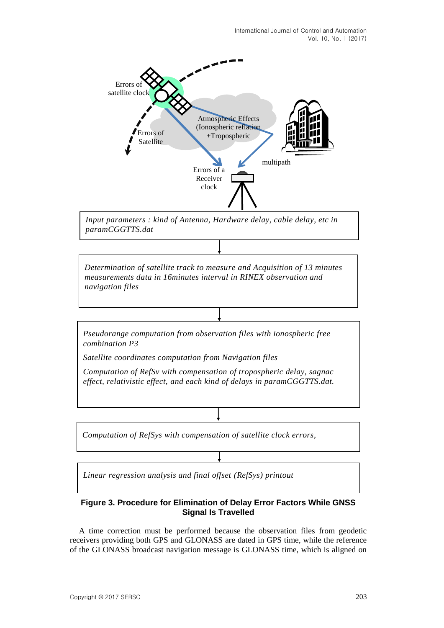

### **Figure 3. Procedure for Elimination of Delay Error Factors While GNSS Signal Is Travelled**

A time correction must be performed because the observation files from geodetic receivers providing both GPS and GLONASS are dated in GPS time, while the reference of the GLONASS broadcast navigation message is GLONASS time, which is aligned on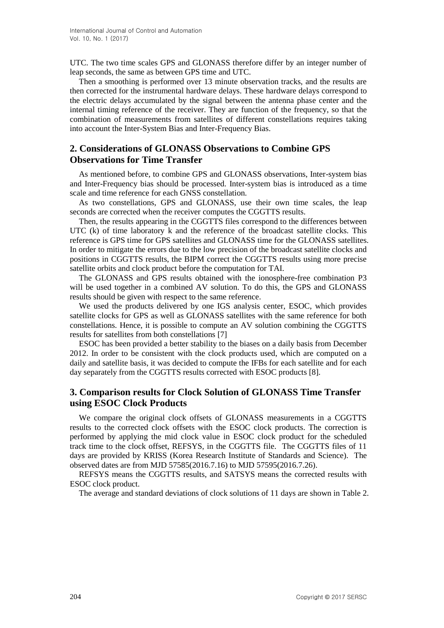UTC. The two time scales GPS and GLONASS therefore differ by an integer number of leap seconds, the same as between GPS time and UTC.

Then a smoothing is performed over 13 minute observation tracks, and the results are then corrected for the instrumental hardware delays. These hardware delays correspond to the electric delays accumulated by the signal between the antenna phase center and the internal timing reference of the receiver. They are function of the frequency, so that the combination of measurements from satellites of different constellations requires taking into account the Inter-System Bias and Inter-Frequency Bias.

## **2. Considerations of GLONASS Observations to Combine GPS Observations for Time Transfer**

As mentioned before, to combine GPS and GLONASS observations, Inter-system bias and Inter-Frequency bias should be processed. Inter-system bias is introduced as a time scale and time reference for each GNSS constellation.

As two constellations, GPS and GLONASS, use their own time scales, the leap seconds are corrected when the receiver computes the CGGTTS results.

Then, the results appearing in the CGGTTS files correspond to the differences between UTC (k) of time laboratory k and the reference of the broadcast satellite clocks. This reference is GPS time for GPS satellites and GLONASS time for the GLONASS satellites. In order to mitigate the errors due to the low precision of the broadcast satellite clocks and positions in CGGTTS results, the BIPM correct the CGGTTS results using more precise satellite orbits and clock product before the computation for TAI.

The GLONASS and GPS results obtained with the ionosphere-free combination P3 will be used together in a combined AV solution. To do this, the GPS and GLONASS results should be given with respect to the same reference.

We used the products delivered by one IGS analysis center, ESOC, which provides satellite clocks for GPS as well as GLONASS satellites with the same reference for both constellations. Hence, it is possible to compute an AV solution combining the CGGTTS results for satellites from both constellations [7]

ESOC has been provided a better stability to the biases on a daily basis from December 2012. In order to be consistent with the clock products used, which are computed on a daily and satellite basis, it was decided to compute the IFBs for each satellite and for each day separately from the CGGTTS results corrected with ESOC products [8].

## **3. Comparison results for Clock Solution of GLONASS Time Transfer using ESOC Clock Products**

We compare the original clock offsets of GLONASS measurements in a CGGTTS results to the corrected clock offsets with the ESOC clock products. The correction is performed by applying the mid clock value in ESOC clock product for the scheduled track time to the clock offset, REFSYS, in the CGGTTS file. The CGGTTS files of 11 days are provided by KRISS (Korea Research Institute of Standards and Science). The observed dates are from MJD 57585(2016.7.16) to MJD 57595(2016.7.26).

REFSYS means the CGGTTS results, and SATSYS means the corrected results with ESOC clock product.

The average and standard deviations of clock solutions of 11 days are shown in Table 2.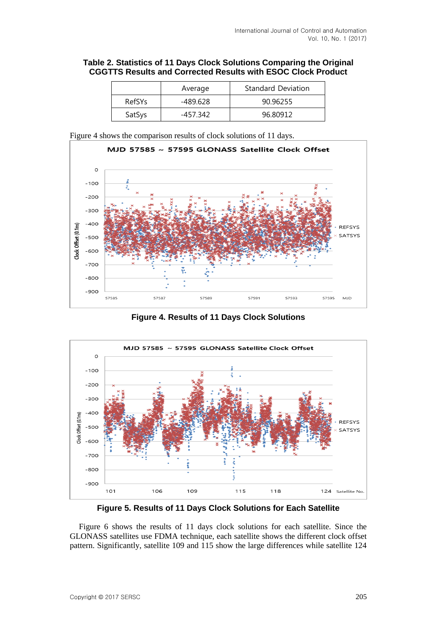### **Table 2. Statistics of 11 Days Clock Solutions Comparing the Original CGGTTS Results and Corrected Results with ESOC Clock Product**

|               | Average  | <b>Standard Deviation</b> |
|---------------|----------|---------------------------|
| <b>RefSYs</b> | -489.628 | 90.96255                  |
| SatSys        | -457.342 | 96.80912                  |

Figure 4 shows the comparison results of clock solutions of 11 days.



**Figure 4. Results of 11 Days Clock Solutions**



**Figure 5. Results of 11 Days Clock Solutions for Each Satellite**

Figure 6 shows the results of 11 days clock solutions for each satellite. Since the GLONASS satellites use FDMA technique, each satellite shows the different clock offset pattern. Significantly, satellite 109 and 115 show the large differences while satellite 124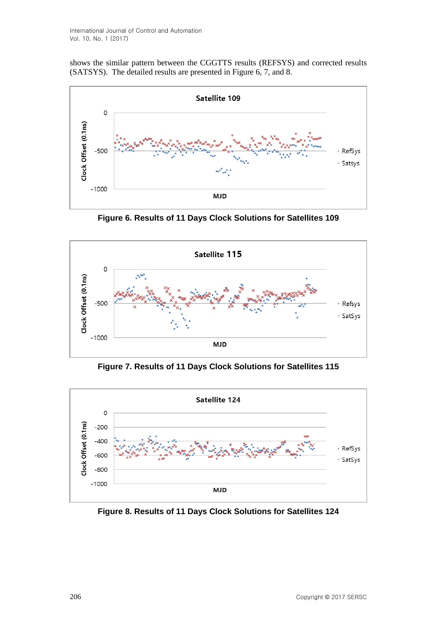shows the similar pattern between the CGGTTS results (REFSYS) and corrected results (SATSYS). The detailed results are presented in Figure 6, 7, and 8.



**Figure 6. Results of 11 Days Clock Solutions for Satellites 109**



**Figure 7. Results of 11 Days Clock Solutions for Satellites 115**



**Figure 8. Results of 11 Days Clock Solutions for Satellites 124**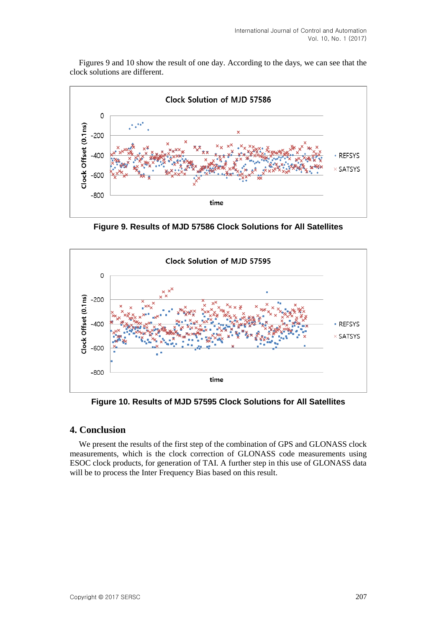Figures 9 and 10 show the result of one day. According to the days, we can see that the clock solutions are different.



**Figure 9. Results of MJD 57586 Clock Solutions for All Satellites**



**Figure 10. Results of MJD 57595 Clock Solutions for All Satellites**

### **4. Conclusion**

We present the results of the first step of the combination of GPS and GLONASS clock measurements, which is the clock correction of GLONASS code measurements using ESOC clock products, for generation of TAI. A further step in this use of GLONASS data will be to process the Inter Frequency Bias based on this result.